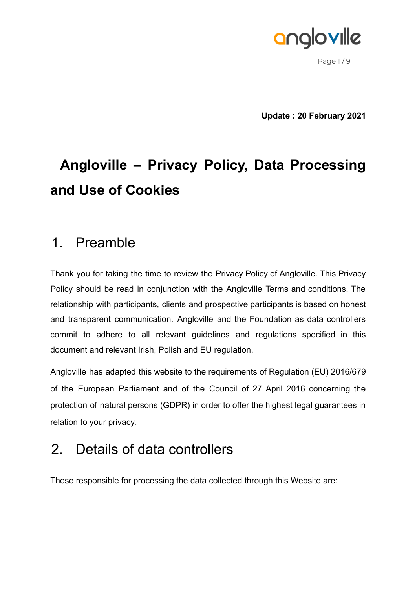

Page  $1/9$ 

**Update : 20 February 2021**

# **Angloville – Privacy Policy, Data Processing and Use of Cookies**

## 1. Preamble

Thank you for taking the time to review the Privacy Policy of Angloville. This Privacy Policy should be read in conjunction with the Angloville Terms and conditions. The relationship with participants, clients and prospective participants is based on honest and transparent communication. Angloville and the Foundation as data controllers commit to adhere to all relevant guidelines and regulations specified in this document and relevant Irish, Polish and EU regulation.

Angloville has adapted this website to the requirements of Regulation (EU) 2016/679 of the European Parliament and of the Council of 27 April 2016 concerning the protection of natural persons (GDPR) in order to offer the highest legal guarantees in relation to your privacy.

## 2. Details of data controllers

Those responsible for processing the data collected through this Website are: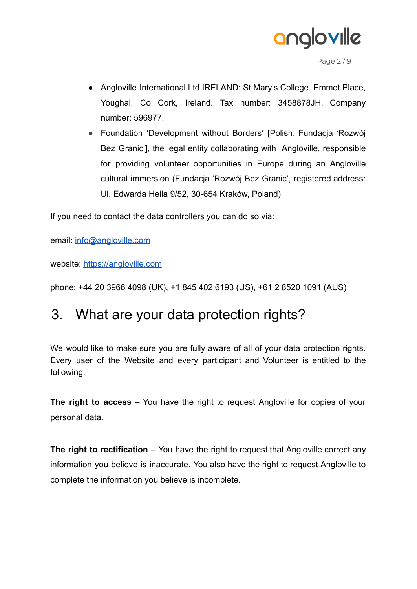

Page 2 / 9

- Angloville International Ltd IRELAND: St Mary's College, Emmet Place, Youghal, Co Cork, Ireland. Tax number: 3458878JH. Company number: 596977.
- Foundation 'Development without Borders' [Polish: Fundacja 'Rozwój Bez Granic'], the legal entity collaborating with Angloville, responsible for providing volunteer opportunities in Europe during an Angloville cultural immersion (Fundacja 'Rozwój Bez Granic', registered address: Ul. Edwarda Heila 9/52, 30-654 Kraków, Poland)

If you need to contact the data controllers you can do so via:

email: [info@angloville.com](mailto:info@angloville.com)

website: <https://angloville.com>

phone: +44 20 3966 4098 (UK), +1 845 402 6193 (US), +61 2 8520 1091 (AUS)

## 3. What are your data protection rights?

We would like to make sure you are fully aware of all of your data protection rights. Every user of the Website and every participant and Volunteer is entitled to the following:

**The right to access** – You have the right to request Angloville for copies of your personal data.

**The right to rectification** – You have the right to request that Angloville correct any information you believe is inaccurate. You also have the right to request Angloville to complete the information you believe is incomplete.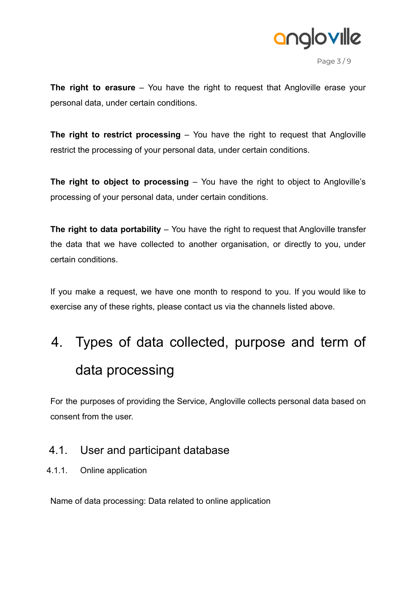

Page 3 / 9

**The right to erasure** – You have the right to request that Angloville erase your personal data, under certain conditions.

**The right to restrict processing** – You have the right to request that Angloville restrict the processing of your personal data, under certain conditions.

**The right to object to processing** – You have the right to object to Angloville's processing of your personal data, under certain conditions.

**The right to data portability** – You have the right to request that Angloville transfer the data that we have collected to another organisation, or directly to you, under certain conditions.

If you make a request, we have one month to respond to you. If you would like to exercise any of these rights, please contact us via the channels listed above.

# 4. Types of data collected, purpose and term of data processing

For the purposes of providing the Service, Angloville collects personal data based on consent from the user.

### 4.1. User and participant database

4.1.1. Online application

Name of data processing: Data related to online application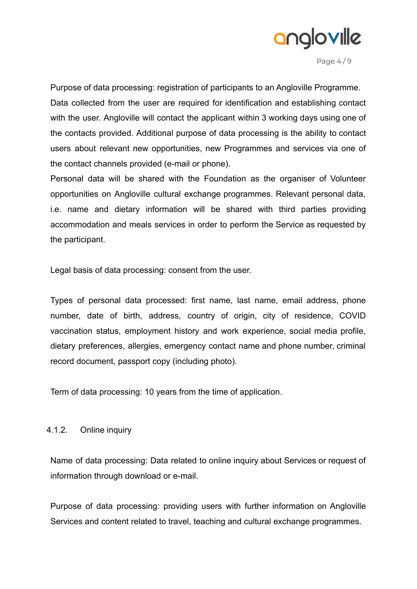

Page 4 / 9

Purpose of data processing: registration of participants to an Angloville Programme. Data collected from the user are required for identification and establishing contact with the user. Angloville will contact the applicant within 3 working days using one of the contacts provided. Additional purpose of data processing is the ability to contact users about relevant new opportunities, new Programmes and services via one of the contact channels provided (e-mail or phone).

Personal data will be shared with the Foundation as the organiser of Volunteer opportunities on Angloville cultural exchange programmes. Relevant personal data, i.e. name and dietary information will be shared with third parties providing accommodation and meals services in order to perform the Service as requested by the participant.

Legal basis of data processing: consent from the user.

Types of personal data processed: first name, last name, email address, phone number, date of birth, address, country of origin, city of residence, COVID vaccination status, employment history and work experience, social media profile, dietary preferences, allergies, emergency contact name and phone number, criminal record document, passport copy (including photo).

Term of data processing: 10 years from the time of application.

#### 4.1.2. Online inquiry

Name of data processing: Data related to online inquiry about Services or request of information through download or e-mail.

Purpose of data processing: providing users with further information on Angloville Services and content related to travel, teaching and cultural exchange programmes.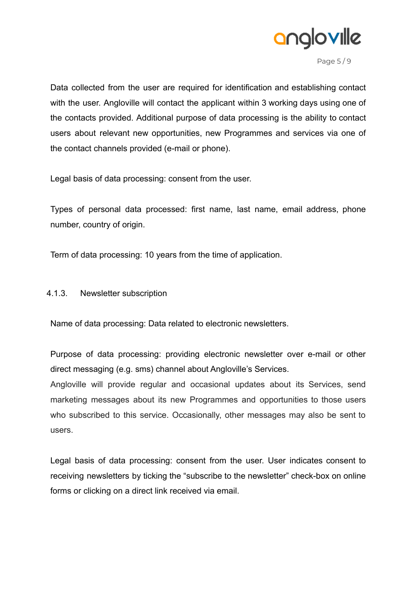

Page 5 / 9

Data collected from the user are required for identification and establishing contact with the user. Angloville will contact the applicant within 3 working days using one of the contacts provided. Additional purpose of data processing is the ability to contact users about relevant new opportunities, new Programmes and services via one of the contact channels provided (e-mail or phone).

Legal basis of data processing: consent from the user.

Types of personal data processed: first name, last name, email address, phone number, country of origin.

Term of data processing: 10 years from the time of application.

#### 4.1.3. Newsletter subscription

Name of data processing: Data related to electronic newsletters.

Purpose of data processing: providing electronic newsletter over e-mail or other direct messaging (e.g. sms) channel about Angloville's Services.

Angloville will provide regular and occasional updates about its Services, send marketing messages about its new Programmes and opportunities to those users who subscribed to this service. Occasionally, other messages may also be sent to users.

Legal basis of data processing: consent from the user. User indicates consent to receiving newsletters by ticking the "subscribe to the newsletter" check-box on online forms or clicking on a direct link received via email.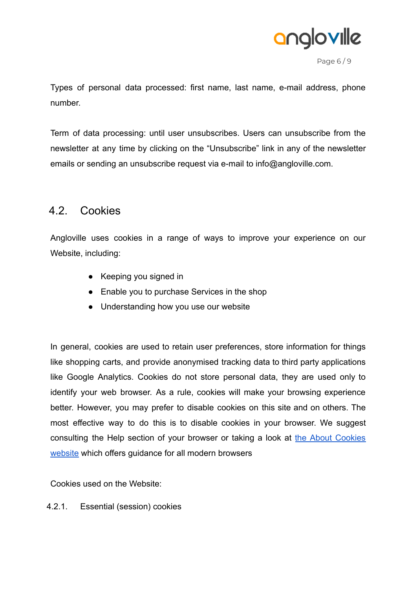

Page 6 / 9

Types of personal data processed: first name, last name, e-mail address, phone number.

Term of data processing: until user unsubscribes. Users can unsubscribe from the newsletter at any time by clicking on the "Unsubscribe" link in any of the newsletter emails or sending an unsubscribe request via e-mail to info@angloville.com.

### 4.2. Cookies

Angloville uses cookies in a range of ways to improve your experience on our Website, including:

- Keeping you signed in
- Enable you to purchase Services in the shop
- Understanding how you use our website

In general, cookies are used to retain user preferences, store information for things like shopping carts, and provide anonymised tracking data to third party applications like Google Analytics. Cookies do not store personal data, they are used only to identify your web browser. As a rule, cookies will make your browsing experience better. However, you may prefer to disable cookies on this site and on others. The most effective way to do this is to disable cookies in your browser. We suggest consulting the Help section of your browser or taking a look at the About [Cookies](http://www.aboutcookies.org/) [website](http://www.aboutcookies.org/) which offers guidance for all modern browsers

Cookies used on the Website:

4.2.1. Essential (session) cookies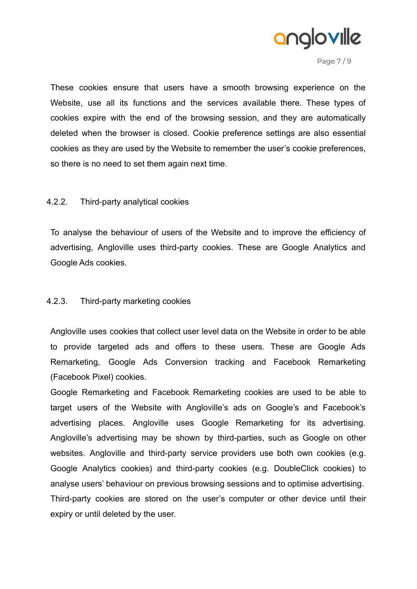

Page 7 / 9

These cookies ensure that users have a smooth browsing experience on the Website, use all its functions and the services available there. These types of cookies expire with the end of the browsing session, and they are automatically deleted when the browser is closed. Cookie preference settings are also essential cookies as they are used by the Website to remember the user's cookie preferences, so there is no need to set them again next time.

#### 4.2.2. Third-party analytical cookies

To analyse the behaviour of users of the Website and to improve the efficiency of advertising, Angloville uses third-party cookies. These are Google Analytics and Google Ads cookies.

#### 4.2.3. Third-party marketing cookies

Angloville uses cookies that collect user level data on the Website in order to be able to provide targeted ads and offers to these users. These are Google Ads Remarketing, Google Ads Conversion tracking and Facebook Remarketing (Facebook Pixel) cookies.

Google Remarketing and Facebook Remarketing cookies are used to be able to target users of the Website with Angloville's ads on Google's and Facebook's advertising places. Angloville uses Google Remarketing for its advertising. Angloville's advertising may be shown by third-parties, such as Google on other websites. Angloville and third-party service providers use both own cookies (e.g. Google Analytics cookies) and third-party cookies (e.g. DoubleClick cookies) to analyse users' behaviour on previous browsing sessions and to optimise advertising. Third-party cookies are stored on the user's computer or other device until their expiry or until deleted by the user.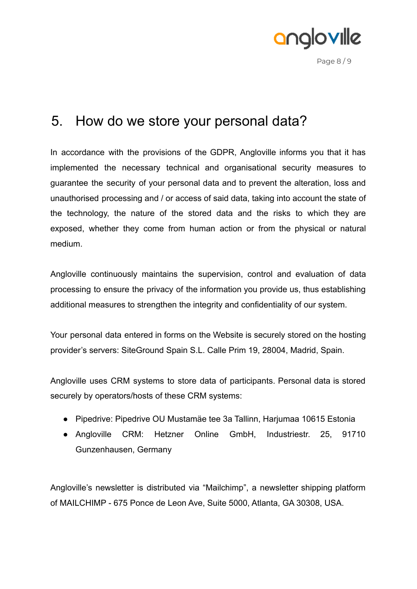

Page 8 / 9

## 5. How do we store your personal data?

In accordance with the provisions of the GDPR, Angloville informs you that it has implemented the necessary technical and organisational security measures to guarantee the security of your personal data and to prevent the alteration, loss and unauthorised processing and / or access of said data, taking into account the state of the technology, the nature of the stored data and the risks to which they are exposed, whether they come from human action or from the physical or natural medium.

Angloville continuously maintains the supervision, control and evaluation of data processing to ensure the privacy of the information you provide us, thus establishing additional measures to strengthen the integrity and confidentiality of our system.

Your personal data entered in forms on the Website is securely stored on the hosting provider's servers: SiteGround Spain S.L. Calle Prim 19, 28004, Madrid, Spain.

Angloville uses CRM systems to store data of participants. Personal data is stored securely by operators/hosts of these CRM systems:

- Pipedrive: Pipedrive OU Mustamäe tee 3a Tallinn, Harjumaa 10615 Estonia
- Angloville CRM: Hetzner Online GmbH, Industriestr. 25, 91710 Gunzenhausen, Germany

Angloville's newsletter is distributed via "Mailchimp", a newsletter shipping platform of MAILCHIMP - 675 Ponce de Leon Ave, Suite 5000, Atlanta, GA 30308, USA.